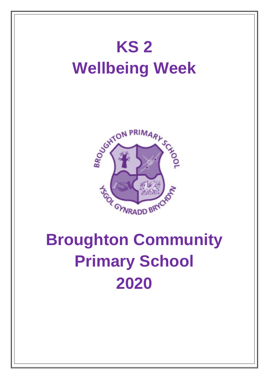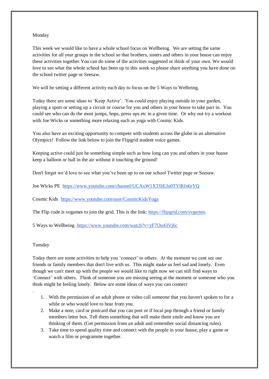## Monday

This week we would like to have a whole school focus on Wellbeing. We are setting the same activities for all year groups in the school so that brothers, sisters and others in your house can enjoy these activities together.You can do some of the activities suggested or think of your own. We would love to see what the whole school has been up to this week so please share anything you have done on the school twitter page or Seesaw.

We will be setting a different activity each day to focus on the 5 Ways to Welbeing.

Today there are some ideas to 'Keep Active'. You could enjoy playing outside in your garden, playing a sport or setting up a circuit or course for you and others in your house to take part in. You could see who can do the most jumps, hops, press ups etc in a given time. Or why not try a workout with Joe Wicks or something more relaxing such as yoga with Cosmic Kids.

You also have an exciting opportunity to compete with students across the globe in an alternative Olympics! Follow the link below to join the Flipgrid student voice games.

Keeping active could just be something simple such as how long can you and others in your house keep a balloon or ball in the air without it touching the ground!

Don't forget we'd love to see what you've been up to on our school Twitter page or Seesaw.

Joe Wicks PE <https://www.youtube.com/channel/UCAxW1XT0iEJo0TYlRfn6rYQ>

Cosmic Kids <https://www.youtube.com/user/CosmicKidsYoga>

The Flip code is svgames to join the grid. This is the link: [https://flipgrid.com/svgames.](https://flipgrid.com/svgames)

5 Ways to Wellbeing [.https://www.youtube.com/watch?v=yF7Ou43Vj6c](https://www.youtube.com/watch?v=yF7Ou43Vj6c)

## Tuesday

.

Today there are some activities to help you 'connect' to others. At the moment we cant see our friends or family members that don't live with us. This might make us feel sad and lonely. Even though we can't meet up with the people we would like to right now we can still find ways to 'Connect' with others. Think of someone you are missing seeing at the moment or someone who you think might be feeling lonely. Below are some ideas of ways you can connect

- 1. With the permission of an adult phone or video call someone that you haven't spoken to for a while or who would love to hear from you.
- 2. Make a note, card or postcard that you can post or if local pop through a friend or family members letter box. Tell them something that will make them smile and know you are thinking of them. (Get permission from an adult and remember social distancing rules).
- 3. Take time to spend quality time and connect with the people in your house, play a game or watch a film or programme together.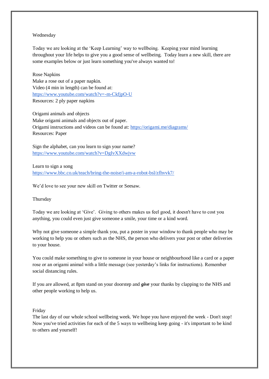## Wednesday

Today we are looking at the 'Keep Learning' way to wellbeing. Keeping your mind learning throughout your life helps to give you a good sense of wellbeing. Today learn a new skill, there are some examples below or just learn something you've always wanted to!

Rose Napkins Make a rose out of a paper napkin. Video (4 min in length) can be found at: <https://www.youtube.com/watch?v=-m-CkfjpO-U> Resources: 2 ply paper napkins

Origami animals and objects Make origami animals and objects out of paper. Origami instructions and videos can be found at:<https://origami.me/diagrams/> Resources: Paper

Sign the alphabet, can you learn to sign your name? <https://www.youtube.com/watch?v=DgIvXXdwjvw>

Learn to sign a song <https://www.bbc.co.uk/teach/bring-the-noise/i-am-a-robot-bsl/zfhvvk7/>

We'd love to see your new skill on Twitter or Seesaw.

Thursday

Today we are looking at 'Give'. Giving to others makes us feel good, it doesn't have to cost you anything, you could even just give someone a smile, your time or a kind word.

Why not give someone a simple thank you, put a poster in your window to thank people who may be working to help you or others such as the NHS, the person who delivers your post or other deliveries to your house.

You could make something to give to someone in your house or neighbourhood like a card or a paper rose or an origami animal with a little message (see yesterday's links for instructions). Remember social distancing rules.

If you are allowed, at 8pm stand on your doorstep and *give* your thanks by clapping to the NHS and other people working to help us.

Friday

The last day of our whole school wellbeing week. We hope you have enjoyed the week - Don't stop! Now you've tried activities for each of the 5 ways to wellbeing keep going - it's important to be kind to others and yourself!